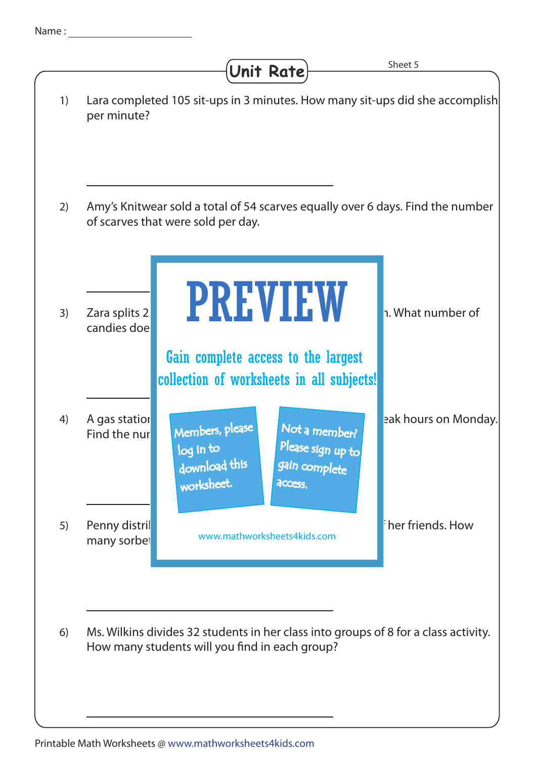